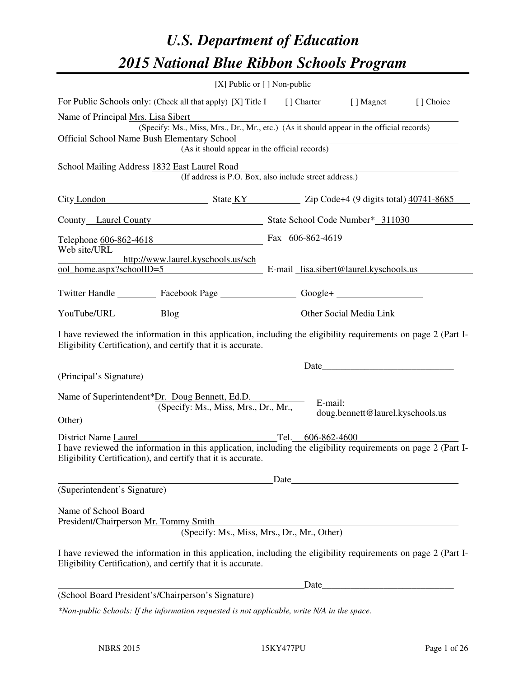# *U.S. Department of Education 2015 National Blue Ribbon Schools Program*

|                                                                                                                                                                                | [X] Public or [] Non-public                                                              |      |         |                                                                                                                      |           |
|--------------------------------------------------------------------------------------------------------------------------------------------------------------------------------|------------------------------------------------------------------------------------------|------|---------|----------------------------------------------------------------------------------------------------------------------|-----------|
| For Public Schools only: (Check all that apply) [X] Title I [] Charter [] Magnet                                                                                               |                                                                                          |      |         |                                                                                                                      | [] Choice |
| Name of Principal Mrs. Lisa Sibert                                                                                                                                             | (Specify: Ms., Miss, Mrs., Dr., Mr., etc.) (As it should appear in the official records) |      |         |                                                                                                                      |           |
| Official School Name Bush Elementary School                                                                                                                                    | mentary School<br>(As it should appear in the official records)                          |      |         |                                                                                                                      |           |
| School Mailing Address 1832 East Laurel Road                                                                                                                                   | (If address is P.O. Box, also include street address.)                                   |      |         |                                                                                                                      |           |
| City London State KY Zip Code+4 (9 digits total) 40741-8685                                                                                                                    |                                                                                          |      |         |                                                                                                                      |           |
| County Laurel County State School Code Number* 311030                                                                                                                          |                                                                                          |      |         |                                                                                                                      |           |
| Telephone $\underbrace{606-862-4618}$ Fax $\underbrace{606-862-4619}$<br>Web site/URL                                                                                          |                                                                                          |      |         |                                                                                                                      |           |
| http://www.laurel.kyschools.us/sch<br>ool_home.aspx?schoolID=5 E-mail_lisa.sibert@laurel.kyschools.us                                                                          |                                                                                          |      |         |                                                                                                                      |           |
| Twitter Handle ___________ Facebook Page ___________________ Google+ ____________                                                                                              |                                                                                          |      |         |                                                                                                                      |           |
| YouTube/URL Blog Blog Discount Other Social Media Link                                                                                                                         |                                                                                          |      |         |                                                                                                                      |           |
| I have reviewed the information in this application, including the eligibility requirements on page 2 (Part I-<br>Eligibility Certification), and certify that it is accurate. |                                                                                          |      |         |                                                                                                                      |           |
|                                                                                                                                                                                |                                                                                          |      |         | Date                                                                                                                 |           |
| (Principal's Signature)                                                                                                                                                        |                                                                                          |      |         |                                                                                                                      |           |
| Name of Superintendent*Dr. Doug Bennett, Ed.D.<br>Other)                                                                                                                       | (Specify: Ms., Miss, Mrs., Dr., Mr.,                                                     |      | E-mail: | doug.bennett@laurel.kyschools.us                                                                                     |           |
| District Name Laurel                                                                                                                                                           |                                                                                          |      |         | Tel. 606-862-4600                                                                                                    |           |
| I have reviewed the information in this application, including the eligibility requirements on page 2 (Part I-<br>Eligibility Certification), and certify that it is accurate. |                                                                                          |      |         |                                                                                                                      |           |
|                                                                                                                                                                                |                                                                                          | Date |         |                                                                                                                      |           |
| (Superintendent's Signature)                                                                                                                                                   |                                                                                          |      |         |                                                                                                                      |           |
| Name of School Board<br>President/Chairperson Mr. Tommy Smith                                                                                                                  | (Specify: Ms., Miss, Mrs., Dr., Mr., Other)                                              |      |         |                                                                                                                      |           |
| I have reviewed the information in this application, including the eligibility requirements on page 2 (Part I-<br>Eligibility Certification), and certify that it is accurate. |                                                                                          |      |         |                                                                                                                      |           |
|                                                                                                                                                                                |                                                                                          |      | Date    | <u> 2001 - Jan James James Jan James James James James James James James James James James James James James Jam</u> |           |
| (School Board President's/Chairperson's Signature)                                                                                                                             |                                                                                          |      |         |                                                                                                                      |           |
| *Non-public Schools: If the information requested is not applicable, write N/A in the space.                                                                                   |                                                                                          |      |         |                                                                                                                      |           |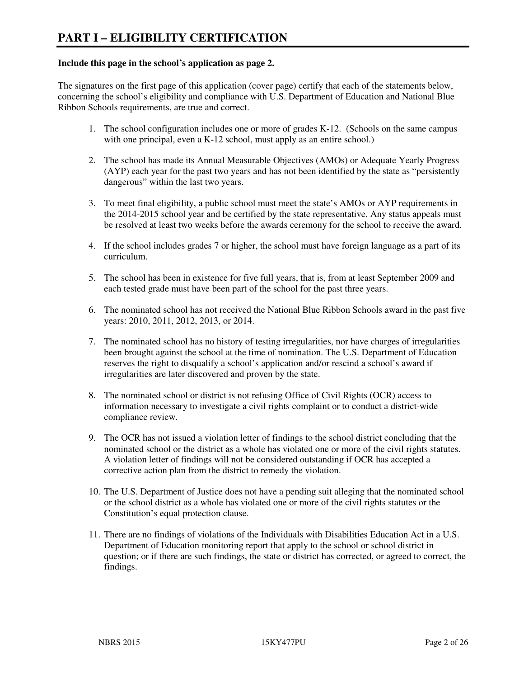#### **Include this page in the school's application as page 2.**

The signatures on the first page of this application (cover page) certify that each of the statements below, concerning the school's eligibility and compliance with U.S. Department of Education and National Blue Ribbon Schools requirements, are true and correct.

- 1. The school configuration includes one or more of grades K-12. (Schools on the same campus with one principal, even a K-12 school, must apply as an entire school.)
- 2. The school has made its Annual Measurable Objectives (AMOs) or Adequate Yearly Progress (AYP) each year for the past two years and has not been identified by the state as "persistently dangerous" within the last two years.
- 3. To meet final eligibility, a public school must meet the state's AMOs or AYP requirements in the 2014-2015 school year and be certified by the state representative. Any status appeals must be resolved at least two weeks before the awards ceremony for the school to receive the award.
- 4. If the school includes grades 7 or higher, the school must have foreign language as a part of its curriculum.
- 5. The school has been in existence for five full years, that is, from at least September 2009 and each tested grade must have been part of the school for the past three years.
- 6. The nominated school has not received the National Blue Ribbon Schools award in the past five years: 2010, 2011, 2012, 2013, or 2014.
- 7. The nominated school has no history of testing irregularities, nor have charges of irregularities been brought against the school at the time of nomination. The U.S. Department of Education reserves the right to disqualify a school's application and/or rescind a school's award if irregularities are later discovered and proven by the state.
- 8. The nominated school or district is not refusing Office of Civil Rights (OCR) access to information necessary to investigate a civil rights complaint or to conduct a district-wide compliance review.
- 9. The OCR has not issued a violation letter of findings to the school district concluding that the nominated school or the district as a whole has violated one or more of the civil rights statutes. A violation letter of findings will not be considered outstanding if OCR has accepted a corrective action plan from the district to remedy the violation.
- 10. The U.S. Department of Justice does not have a pending suit alleging that the nominated school or the school district as a whole has violated one or more of the civil rights statutes or the Constitution's equal protection clause.
- 11. There are no findings of violations of the Individuals with Disabilities Education Act in a U.S. Department of Education monitoring report that apply to the school or school district in question; or if there are such findings, the state or district has corrected, or agreed to correct, the findings.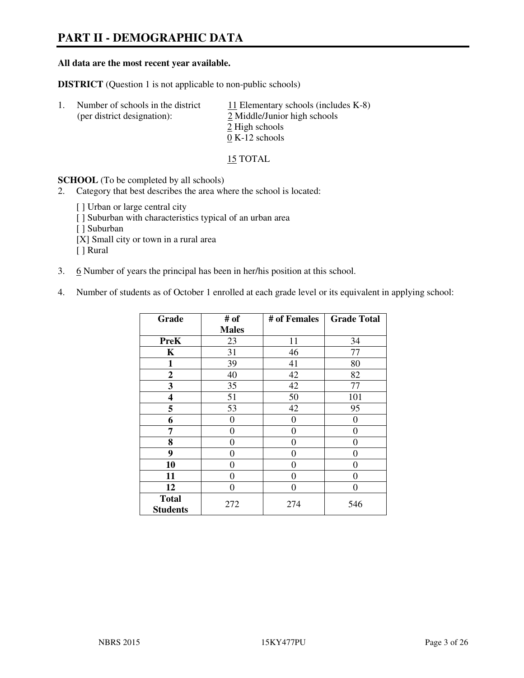# **PART II - DEMOGRAPHIC DATA**

#### **All data are the most recent year available.**

**DISTRICT** (Question 1 is not applicable to non-public schools)

| -1. | Number of schools in the district<br>(per district designation): | 11 Elementary schools (includes $K-8$ )<br>2 Middle/Junior high schools<br>2 High schools |
|-----|------------------------------------------------------------------|-------------------------------------------------------------------------------------------|
|     |                                                                  | $0 K-12$ schools                                                                          |

15 TOTAL

**SCHOOL** (To be completed by all schools)

2. Category that best describes the area where the school is located:

[] Urban or large central city [ ] Suburban with characteristics typical of an urban area [ ] Suburban [X] Small city or town in a rural area [ ] Rural

- 3. 6 Number of years the principal has been in her/his position at this school.
- 4. Number of students as of October 1 enrolled at each grade level or its equivalent in applying school:

| Grade                           | # of         | # of Females   | <b>Grade Total</b> |
|---------------------------------|--------------|----------------|--------------------|
|                                 | <b>Males</b> |                |                    |
| <b>PreK</b>                     | 23           | 11             | 34                 |
| K                               | 31           | 46             | 77                 |
| 1                               | 39           | 41             | 80                 |
| $\mathbf{2}$                    | 40           | 42             | 82                 |
| 3                               | 35           | 42             | 77                 |
| 4                               | 51           | 50             | 101                |
| 5                               | 53           | 42             | 95                 |
| 6                               | 0            | $\theta$       | 0                  |
| 7                               | $\theta$     | $\overline{0}$ | 0                  |
| 8                               | 0            | 0              | 0                  |
| 9                               | $\theta$     | $\overline{0}$ | 0                  |
| 10                              | 0            | 0              | 0                  |
| 11                              | 0            | 0              | 0                  |
| 12                              | 0            | 0              | 0                  |
| <b>Total</b><br><b>Students</b> | 272          | 274            | 546                |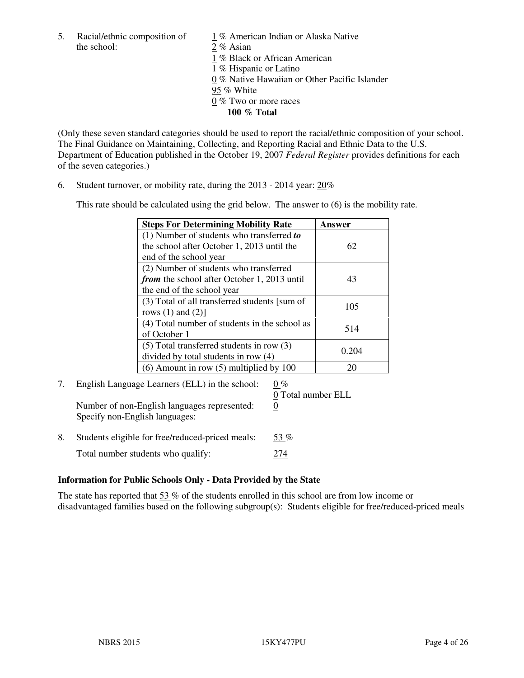5. Racial/ethnic composition of  $1\%$  American Indian or Alaska Native the school: 2 % Asian

 1 % Black or African American 1 % Hispanic or Latino 0 % Native Hawaiian or Other Pacific Islander 95 % White 0 % Two or more races **100 % Total** 

(Only these seven standard categories should be used to report the racial/ethnic composition of your school. The Final Guidance on Maintaining, Collecting, and Reporting Racial and Ethnic Data to the U.S. Department of Education published in the October 19, 2007 *Federal Register* provides definitions for each of the seven categories.)

6. Student turnover, or mobility rate, during the 2013 - 2014 year: 20%

This rate should be calculated using the grid below. The answer to (6) is the mobility rate.

| <b>Steps For Determining Mobility Rate</b>    | Answer |
|-----------------------------------------------|--------|
| $(1)$ Number of students who transferred to   |        |
| the school after October 1, 2013 until the    | 62     |
| end of the school year                        |        |
| (2) Number of students who transferred        |        |
| from the school after October 1, 2013 until   | 43     |
| the end of the school year                    |        |
| (3) Total of all transferred students [sum of | 105    |
| rows $(1)$ and $(2)$ ]                        |        |
| (4) Total number of students in the school as | 514    |
| of October 1                                  |        |
| $(5)$ Total transferred students in row $(3)$ |        |
| divided by total students in row (4)          | 0.204  |
| $(6)$ Amount in row $(5)$ multiplied by 100   | 20     |

#### 7. English Language Learners (ELL) in the school:  $0\%$ 0 Total number ELL

Number of non-English languages represented: 0 Specify non-English languages:

- 8. Students eligible for free/reduced-priced meals:  $53\%$
- Total number students who qualify: 274

# **Information for Public Schools Only - Data Provided by the State**

The state has reported that  $53\%$  of the students enrolled in this school are from low income or disadvantaged families based on the following subgroup(s): Students eligible for free/reduced-priced meals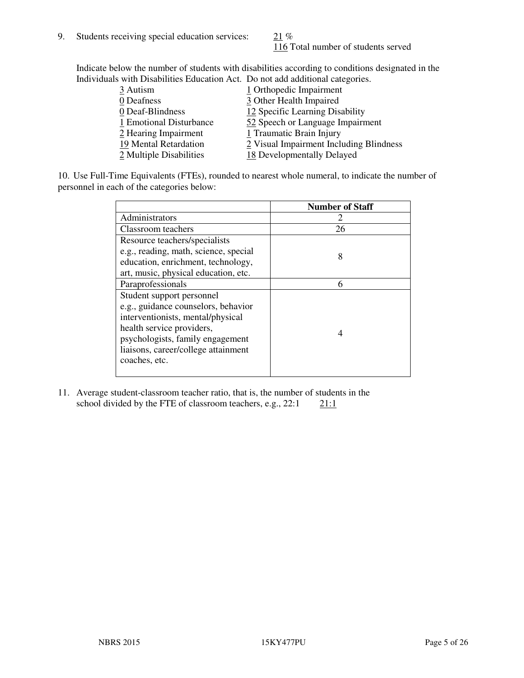116 Total number of students served

Indicate below the number of students with disabilities according to conditions designated in the Individuals with Disabilities Education Act. Do not add additional categories.

| 3 Autism                | 1 Orthopedic Impairment                 |
|-------------------------|-----------------------------------------|
| 0 Deafness              | 3 Other Health Impaired                 |
| 0 Deaf-Blindness        | 12 Specific Learning Disability         |
| 1 Emotional Disturbance | 52 Speech or Language Impairment        |
| 2 Hearing Impairment    | 1 Traumatic Brain Injury                |
| 19 Mental Retardation   | 2 Visual Impairment Including Blindness |
| 2 Multiple Disabilities | 18 Developmentally Delayed              |
|                         |                                         |

10. Use Full-Time Equivalents (FTEs), rounded to nearest whole numeral, to indicate the number of personnel in each of the categories below:

|                                       | <b>Number of Staff</b> |
|---------------------------------------|------------------------|
| Administrators                        |                        |
| Classroom teachers                    | 26                     |
| Resource teachers/specialists         |                        |
| e.g., reading, math, science, special | 8                      |
| education, enrichment, technology,    |                        |
| art, music, physical education, etc.  |                        |
| Paraprofessionals                     | 6                      |
| Student support personnel             |                        |
| e.g., guidance counselors, behavior   |                        |
| interventionists, mental/physical     |                        |
| health service providers,             | 4                      |
| psychologists, family engagement      |                        |
| liaisons, career/college attainment   |                        |
| coaches, etc.                         |                        |
|                                       |                        |

11. Average student-classroom teacher ratio, that is, the number of students in the school divided by the FTE of classroom teachers, e.g.,  $22:1$  21:1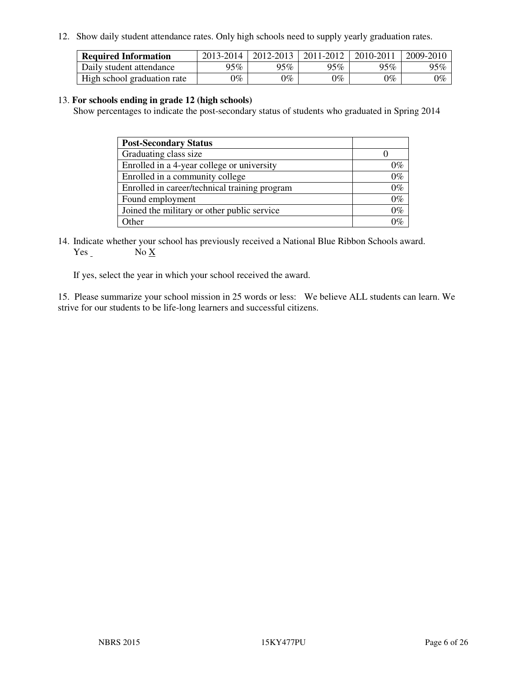12. Show daily student attendance rates. Only high schools need to supply yearly graduation rates.

| <b>Required Information</b> | 2013-2014 | 2012-2013 | 2011-2012 | 2010-2011 | 2009-2010 |
|-----------------------------|-----------|-----------|-----------|-----------|-----------|
| Daily student attendance    | $95\%$    | $95\%$    | 95%       | 95%       | 95%       |
| High school graduation rate | 9%        | $0\%$     | $0\%$     | 0%        | $0\%$     |

#### 13. **For schools ending in grade 12 (high schools)**

Show percentages to indicate the post-secondary status of students who graduated in Spring 2014

| <b>Post-Secondary Status</b>                  |       |
|-----------------------------------------------|-------|
| Graduating class size                         |       |
| Enrolled in a 4-year college or university    | በ‰    |
| Enrolled in a community college               | $0\%$ |
| Enrolled in career/technical training program | $0\%$ |
| Found employment                              | $0\%$ |
| Joined the military or other public service   | 0%    |
| Other                                         |       |

14. Indicate whether your school has previously received a National Blue Ribbon Schools award. Yes No X

If yes, select the year in which your school received the award.

15. Please summarize your school mission in 25 words or less: We believe ALL students can learn. We strive for our students to be life-long learners and successful citizens.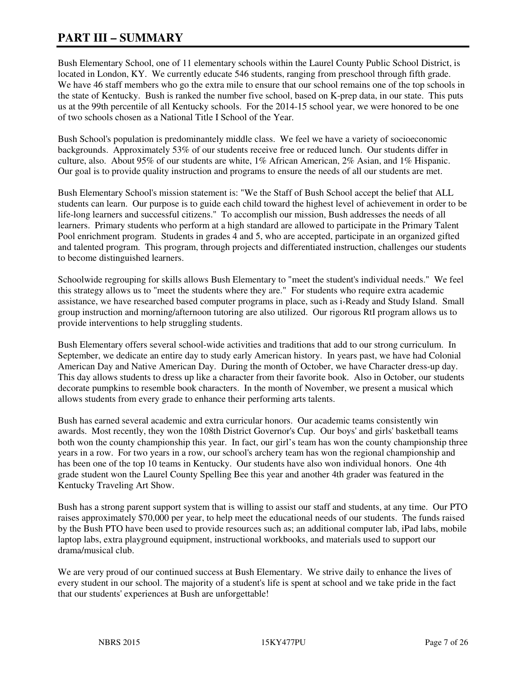# **PART III – SUMMARY**

Bush Elementary School, one of 11 elementary schools within the Laurel County Public School District, is located in London, KY. We currently educate 546 students, ranging from preschool through fifth grade. We have 46 staff members who go the extra mile to ensure that our school remains one of the top schools in the state of Kentucky. Bush is ranked the number five school, based on K-prep data, in our state. This puts us at the 99th percentile of all Kentucky schools. For the 2014-15 school year, we were honored to be one of two schools chosen as a National Title I School of the Year.

Bush School's population is predominantely middle class. We feel we have a variety of socioeconomic backgrounds. Approximately 53% of our students receive free or reduced lunch. Our students differ in culture, also. About 95% of our students are white, 1% African American, 2% Asian, and 1% Hispanic. Our goal is to provide quality instruction and programs to ensure the needs of all our students are met.

Bush Elementary School's mission statement is: "We the Staff of Bush School accept the belief that ALL students can learn. Our purpose is to guide each child toward the highest level of achievement in order to be life-long learners and successful citizens." To accomplish our mission, Bush addresses the needs of all learners. Primary students who perform at a high standard are allowed to participate in the Primary Talent Pool enrichment program. Students in grades 4 and 5, who are accepted, participate in an organized gifted and talented program. This program, through projects and differentiated instruction, challenges our students to become distinguished learners.

Schoolwide regrouping for skills allows Bush Elementary to "meet the student's individual needs." We feel this strategy allows us to "meet the students where they are." For students who require extra academic assistance, we have researched based computer programs in place, such as i-Ready and Study Island. Small group instruction and morning/afternoon tutoring are also utilized. Our rigorous RtI program allows us to provide interventions to help struggling students.

Bush Elementary offers several school-wide activities and traditions that add to our strong curriculum. In September, we dedicate an entire day to study early American history. In years past, we have had Colonial American Day and Native American Day. During the month of October, we have Character dress-up day. This day allows students to dress up like a character from their favorite book. Also in October, our students decorate pumpkins to resemble book characters. In the month of November, we present a musical which allows students from every grade to enhance their performing arts talents.

Bush has earned several academic and extra curricular honors. Our academic teams consistently win awards. Most recently, they won the 108th District Governor's Cup. Our boys' and girls' basketball teams both won the county championship this year. In fact, our girl's team has won the county championship three years in a row. For two years in a row, our school's archery team has won the regional championship and has been one of the top 10 teams in Kentucky. Our students have also won individual honors. One 4th grade student won the Laurel County Spelling Bee this year and another 4th grader was featured in the Kentucky Traveling Art Show.

Bush has a strong parent support system that is willing to assist our staff and students, at any time. Our PTO raises approximately \$70,000 per year, to help meet the educational needs of our students. The funds raised by the Bush PTO have been used to provide resources such as; an additional computer lab, iPad labs, mobile laptop labs, extra playground equipment, instructional workbooks, and materials used to support our drama/musical club.

We are very proud of our continued success at Bush Elementary. We strive daily to enhance the lives of every student in our school. The majority of a student's life is spent at school and we take pride in the fact that our students' experiences at Bush are unforgettable!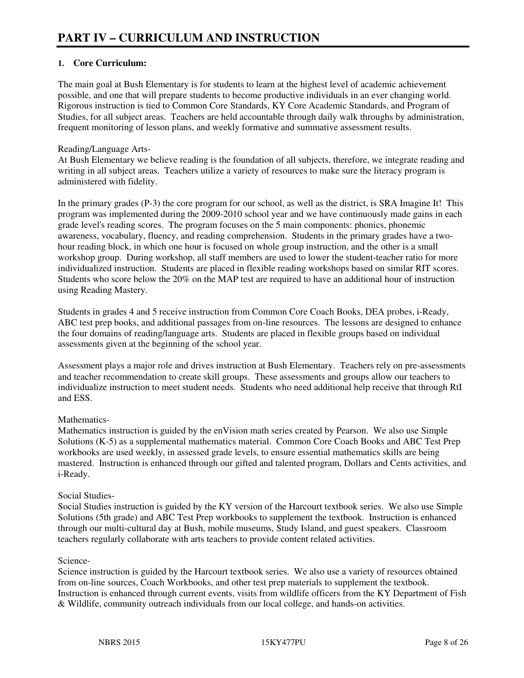### **1. Core Curriculum:**

The main goal at Bush Elementary is for students to learn at the highest level of academic achievement possible, and one that will prepare students to become productive individuals in an ever changing world. Rigorous instruction is tied to Common Core Standards, KY Core Academic Standards, and Program of Studies, for all subject areas. Teachers are held accountable through daily walk throughs by administration, frequent monitoring of lesson plans, and weekly formative and summative assessment results.

#### Reading/Language Arts-

At Bush Elementary we believe reading is the foundation of all subjects, therefore, we integrate reading and writing in all subject areas. Teachers utilize a variety of resources to make sure the literacy program is administered with fidelity.

In the primary grades (P-3) the core program for our school, as well as the district, is SRA Imagine It! This program was implemented during the 2009-2010 school year and we have continuously made gains in each grade level's reading scores. The program focuses on the 5 main components: phonics, phonemic awareness, vocabulary, fluency, and reading comprehension. Students in the primary grades have a twohour reading block, in which one hour is focused on whole group instruction, and the other is a small workshop group. During workshop, all staff members are used to lower the student-teacher ratio for more individualized instruction. Students are placed in flexible reading workshops based on similar RIT scores. Students who score below the 20% on the MAP test are required to have an additional hour of instruction using Reading Mastery.

Students in grades 4 and 5 receive instruction from Common Core Coach Books, DEA probes, i-Ready, ABC test prep books, and additional passages from on-line resources. The lessons are designed to enhance the four domains of reading/language arts. Students are placed in flexible groups based on individual assessments given at the beginning of the school year.

Assessment plays a major role and drives instruction at Bush Elementary. Teachers rely on pre-assessments and teacher recommendation to create skill groups. These assessments and groups allow our teachers to individualize instruction to meet student needs. Students who need additional help receive that through RtI and ESS.

#### Mathematics-

Mathematics instruction is guided by the enVision math series created by Pearson. We also use Simple Solutions (K-5) as a supplemental mathematics material. Common Core Coach Books and ABC Test Prep workbooks are used weekly, in assessed grade levels, to ensure essential mathematics skills are being mastered. Instruction is enhanced through our gifted and talented program, Dollars and Cents activities, and i-Ready.

#### Social Studies-

Social Studies instruction is guided by the KY version of the Harcourt textbook series. We also use Simple Solutions (5th grade) and ABC Test Prep workbooks to supplement the textbook. Instruction is enhanced through our multi-cultural day at Bush, mobile museums, Study Island, and guest speakers. Classroom teachers regularly collaborate with arts teachers to provide content related activities.

#### Science-

Science instruction is guided by the Harcourt textbook series. We also use a variety of resources obtained from on-line sources, Coach Workbooks, and other test prep materials to supplement the textbook. Instruction is enhanced through current events, visits from wildlife officers from the KY Department of Fish & Wildlife, community outreach individuals from our local college, and hands-on activities.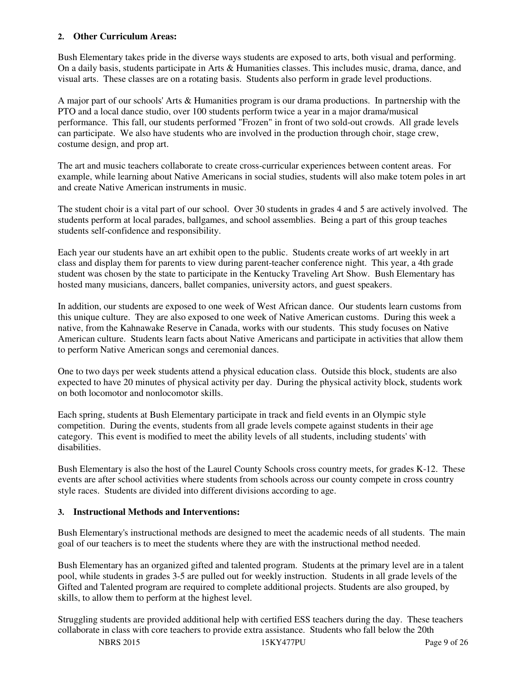#### **2. Other Curriculum Areas:**

Bush Elementary takes pride in the diverse ways students are exposed to arts, both visual and performing. On a daily basis, students participate in Arts & Humanities classes. This includes music, drama, dance, and visual arts. These classes are on a rotating basis. Students also perform in grade level productions.

A major part of our schools' Arts & Humanities program is our drama productions. In partnership with the PTO and a local dance studio, over 100 students perform twice a year in a major drama/musical performance. This fall, our students performed "Frozen" in front of two sold-out crowds. All grade levels can participate. We also have students who are involved in the production through choir, stage crew, costume design, and prop art.

The art and music teachers collaborate to create cross-curricular experiences between content areas. For example, while learning about Native Americans in social studies, students will also make totem poles in art and create Native American instruments in music.

The student choir is a vital part of our school. Over 30 students in grades 4 and 5 are actively involved. The students perform at local parades, ballgames, and school assemblies. Being a part of this group teaches students self-confidence and responsibility.

Each year our students have an art exhibit open to the public. Students create works of art weekly in art class and display them for parents to view during parent-teacher conference night. This year, a 4th grade student was chosen by the state to participate in the Kentucky Traveling Art Show. Bush Elementary has hosted many musicians, dancers, ballet companies, university actors, and guest speakers.

In addition, our students are exposed to one week of West African dance. Our students learn customs from this unique culture. They are also exposed to one week of Native American customs. During this week a native, from the Kahnawake Reserve in Canada, works with our students. This study focuses on Native American culture. Students learn facts about Native Americans and participate in activities that allow them to perform Native American songs and ceremonial dances.

One to two days per week students attend a physical education class. Outside this block, students are also expected to have 20 minutes of physical activity per day. During the physical activity block, students work on both locomotor and nonlocomotor skills.

Each spring, students at Bush Elementary participate in track and field events in an Olympic style competition. During the events, students from all grade levels compete against students in their age category. This event is modified to meet the ability levels of all students, including students' with disabilities.

Bush Elementary is also the host of the Laurel County Schools cross country meets, for grades K-12. These events are after school activities where students from schools across our county compete in cross country style races. Students are divided into different divisions according to age.

#### **3. Instructional Methods and Interventions:**

Bush Elementary's instructional methods are designed to meet the academic needs of all students. The main goal of our teachers is to meet the students where they are with the instructional method needed.

Bush Elementary has an organized gifted and talented program. Students at the primary level are in a talent pool, while students in grades 3-5 are pulled out for weekly instruction. Students in all grade levels of the Gifted and Talented program are required to complete additional projects. Students are also grouped, by skills, to allow them to perform at the highest level.

Struggling students are provided additional help with certified ESS teachers during the day. These teachers collaborate in class with core teachers to provide extra assistance. Students who fall below the 20th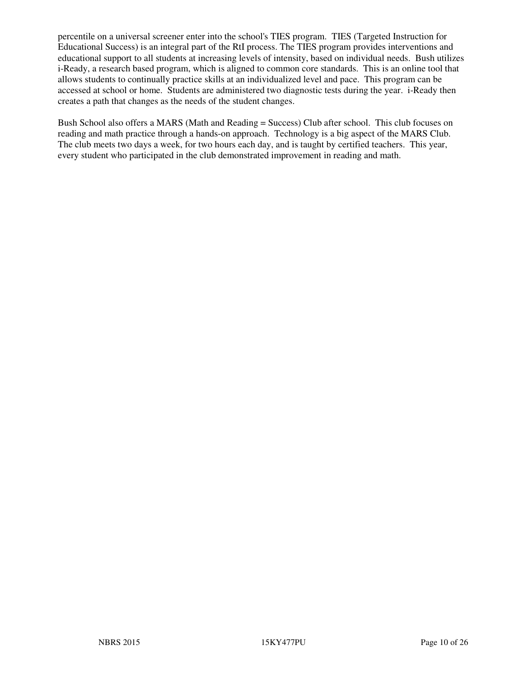percentile on a universal screener enter into the school's TIES program. TIES (Targeted Instruction for Educational Success) is an integral part of the RtI process. The TIES program provides interventions and educational support to all students at increasing levels of intensity, based on individual needs. Bush utilizes i-Ready, a research based program, which is aligned to common core standards. This is an online tool that allows students to continually practice skills at an individualized level and pace. This program can be accessed at school or home. Students are administered two diagnostic tests during the year. i-Ready then creates a path that changes as the needs of the student changes.

Bush School also offers a MARS (Math and Reading = Success) Club after school. This club focuses on reading and math practice through a hands-on approach. Technology is a big aspect of the MARS Club. The club meets two days a week, for two hours each day, and is taught by certified teachers. This year, every student who participated in the club demonstrated improvement in reading and math.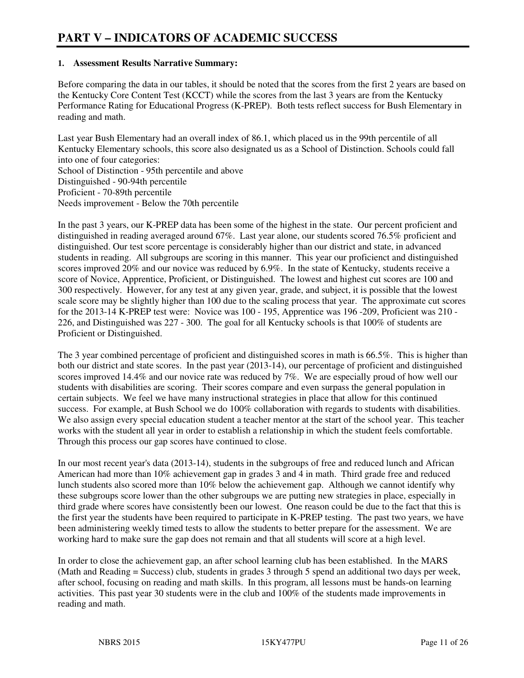#### **1. Assessment Results Narrative Summary:**

Before comparing the data in our tables, it should be noted that the scores from the first 2 years are based on the Kentucky Core Content Test (KCCT) while the scores from the last 3 years are from the Kentucky Performance Rating for Educational Progress (K-PREP). Both tests reflect success for Bush Elementary in reading and math.

Last year Bush Elementary had an overall index of 86.1, which placed us in the 99th percentile of all Kentucky Elementary schools, this score also designated us as a School of Distinction. Schools could fall into one of four categories: School of Distinction - 95th percentile and above Distinguished - 90-94th percentile

Proficient - 70-89th percentile

Needs improvement - Below the 70th percentile

In the past 3 years, our K-PREP data has been some of the highest in the state. Our percent proficient and distinguished in reading averaged around 67%. Last year alone, our students scored 76.5% proficient and distinguished. Our test score percentage is considerably higher than our district and state, in advanced students in reading. All subgroups are scoring in this manner. This year our proficienct and distinguished scores improved 20% and our novice was reduced by 6.9%. In the state of Kentucky, students receive a score of Novice, Apprentice, Proficient, or Distinguished. The lowest and highest cut scores are 100 and 300 respectively. However, for any test at any given year, grade, and subject, it is possible that the lowest scale score may be slightly higher than 100 due to the scaling process that year. The approximate cut scores for the 2013-14 K-PREP test were: Novice was 100 - 195, Apprentice was 196 -209, Proficient was 210 - 226, and Distinguished was 227 - 300. The goal for all Kentucky schools is that 100% of students are Proficient or Distinguished.

The 3 year combined percentage of proficient and distinguished scores in math is 66.5%. This is higher than both our district and state scores. In the past year (2013-14), our percentage of proficient and distinguished scores improved 14.4% and our novice rate was reduced by 7%. We are especially proud of how well our students with disabilities are scoring. Their scores compare and even surpass the general population in certain subjects. We feel we have many instructional strategies in place that allow for this continued success. For example, at Bush School we do 100% collaboration with regards to students with disabilities. We also assign every special education student a teacher mentor at the start of the school year. This teacher works with the student all year in order to establish a relationship in which the student feels comfortable. Through this process our gap scores have continued to close.

In our most recent year's data (2013-14), students in the subgroups of free and reduced lunch and African American had more than 10% achievement gap in grades 3 and 4 in math. Third grade free and reduced lunch students also scored more than 10% below the achievement gap. Although we cannot identify why these subgroups score lower than the other subgroups we are putting new strategies in place, especially in third grade where scores have consistently been our lowest. One reason could be due to the fact that this is the first year the students have been required to participate in K-PREP testing. The past two years, we have been administering weekly timed tests to allow the students to better prepare for the assessment. We are working hard to make sure the gap does not remain and that all students will score at a high level.

In order to close the achievement gap, an after school learning club has been established. In the MARS (Math and Reading = Success) club, students in grades 3 through 5 spend an additional two days per week, after school, focusing on reading and math skills. In this program, all lessons must be hands-on learning activities. This past year 30 students were in the club and 100% of the students made improvements in reading and math.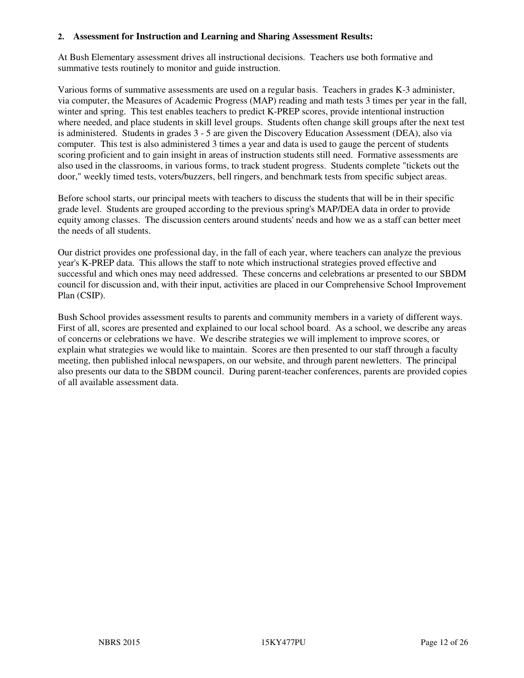#### **2. Assessment for Instruction and Learning and Sharing Assessment Results:**

At Bush Elementary assessment drives all instructional decisions. Teachers use both formative and summative tests routinely to monitor and guide instruction.

Various forms of summative assessments are used on a regular basis. Teachers in grades K-3 administer, via computer, the Measures of Academic Progress (MAP) reading and math tests 3 times per year in the fall, winter and spring. This test enables teachers to predict K-PREP scores, provide intentional instruction where needed, and place students in skill level groups. Students often change skill groups after the next test is administered. Students in grades 3 - 5 are given the Discovery Education Assessment (DEA), also via computer. This test is also administered 3 times a year and data is used to gauge the percent of students scoring proficient and to gain insight in areas of instruction students still need. Formative assessments are also used in the classrooms, in various forms, to track student progress. Students complete "tickets out the door," weekly timed tests, voters/buzzers, bell ringers, and benchmark tests from specific subject areas.

Before school starts, our principal meets with teachers to discuss the students that will be in their specific grade level. Students are grouped according to the previous spring's MAP/DEA data in order to provide equity among classes. The discussion centers around students' needs and how we as a staff can better meet the needs of all students.

Our district provides one professional day, in the fall of each year, where teachers can analyze the previous year's K-PREP data. This allows the staff to note which instructional strategies proved effective and successful and which ones may need addressed. These concerns and celebrations ar presented to our SBDM council for discussion and, with their input, activities are placed in our Comprehensive School Improvement Plan (CSIP).

Bush School provides assessment results to parents and community members in a variety of different ways. First of all, scores are presented and explained to our local school board. As a school, we describe any areas of concerns or celebrations we have. We describe strategies we will implement to improve scores, or explain what strategies we would like to maintain. Scores are then presented to our staff through a faculty meeting, then published inlocal newspapers, on our website, and through parent newletters. The principal also presents our data to the SBDM council. During parent-teacher conferences, parents are provided copies of all available assessment data.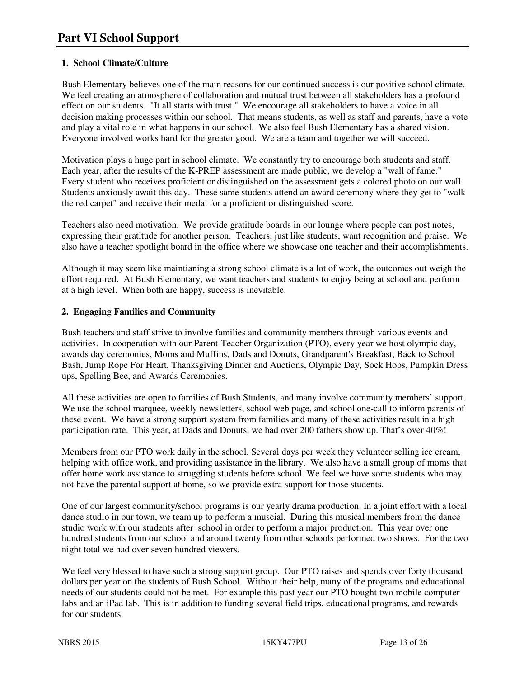# **1. School Climate/Culture**

Bush Elementary believes one of the main reasons for our continued success is our positive school climate. We feel creating an atmosphere of collaboration and mutual trust between all stakeholders has a profound effect on our students. "It all starts with trust." We encourage all stakeholders to have a voice in all decision making processes within our school. That means students, as well as staff and parents, have a vote and play a vital role in what happens in our school. We also feel Bush Elementary has a shared vision. Everyone involved works hard for the greater good. We are a team and together we will succeed.

Motivation plays a huge part in school climate. We constantly try to encourage both students and staff. Each year, after the results of the K-PREP assessment are made public, we develop a "wall of fame." Every student who receives proficient or distinguished on the assessment gets a colored photo on our wall. Students anxiously await this day. These same students attend an award ceremony where they get to "walk the red carpet" and receive their medal for a proficient or distinguished score.

Teachers also need motivation. We provide gratitude boards in our lounge where people can post notes, expressing their gratitude for another person. Teachers, just like students, want recognition and praise. We also have a teacher spotlight board in the office where we showcase one teacher and their accomplishments.

Although it may seem like maintianing a strong school climate is a lot of work, the outcomes out weigh the effort required. At Bush Elementary, we want teachers and students to enjoy being at school and perform at a high level. When both are happy, success is inevitable.

# **2. Engaging Families and Community**

Bush teachers and staff strive to involve families and community members through various events and activities. In cooperation with our Parent-Teacher Organization (PTO), every year we host olympic day, awards day ceremonies, Moms and Muffins, Dads and Donuts, Grandparent's Breakfast, Back to School Bash, Jump Rope For Heart, Thanksgiving Dinner and Auctions, Olympic Day, Sock Hops, Pumpkin Dress ups, Spelling Bee, and Awards Ceremonies.

All these activities are open to families of Bush Students, and many involve community members' support. We use the school marquee, weekly newsletters, school web page, and school one-call to inform parents of these event. We have a strong support system from families and many of these activities result in a high participation rate. This year, at Dads and Donuts, we had over 200 fathers show up. That's over 40%!

Members from our PTO work daily in the school. Several days per week they volunteer selling ice cream, helping with office work, and providing assistance in the library. We also have a small group of moms that offer home work assistance to struggling students before school. We feel we have some students who may not have the parental support at home, so we provide extra support for those students.

One of our largest community/school programs is our yearly drama production. In a joint effort with a local dance studio in our town, we team up to perform a muscial. During this musical members from the dance studio work with our students after school in order to perform a major production. This year over one hundred students from our school and around twenty from other schools performed two shows. For the two night total we had over seven hundred viewers.

We feel very blessed to have such a strong support group. Our PTO raises and spends over forty thousand dollars per year on the students of Bush School. Without their help, many of the programs and educational needs of our students could not be met. For example this past year our PTO bought two mobile computer labs and an iPad lab. This is in addition to funding several field trips, educational programs, and rewards for our students.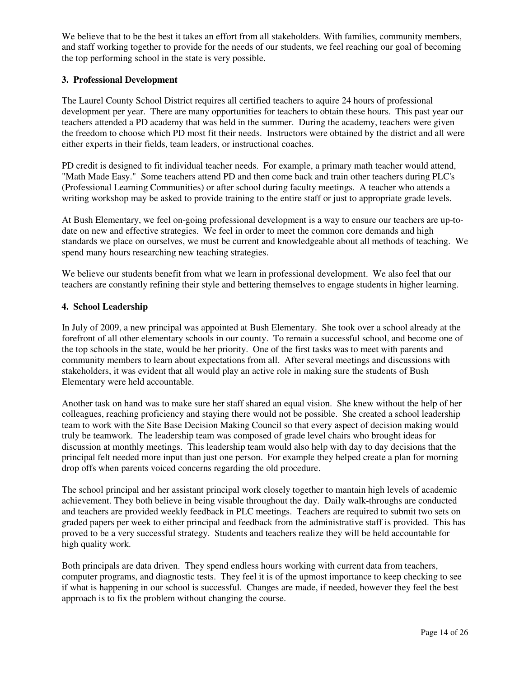We believe that to be the best it takes an effort from all stakeholders. With families, community members, and staff working together to provide for the needs of our students, we feel reaching our goal of becoming the top performing school in the state is very possible.

#### **3. Professional Development**

The Laurel County School District requires all certified teachers to aquire 24 hours of professional development per year. There are many opportunities for teachers to obtain these hours. This past year our teachers attended a PD academy that was held in the summer. During the academy, teachers were given the freedom to choose which PD most fit their needs. Instructors were obtained by the district and all were either experts in their fields, team leaders, or instructional coaches.

PD credit is designed to fit individual teacher needs. For example, a primary math teacher would attend, "Math Made Easy." Some teachers attend PD and then come back and train other teachers during PLC's (Professional Learning Communities) or after school during faculty meetings. A teacher who attends a writing workshop may be asked to provide training to the entire staff or just to appropriate grade levels.

At Bush Elementary, we feel on-going professional development is a way to ensure our teachers are up-todate on new and effective strategies. We feel in order to meet the common core demands and high standards we place on ourselves, we must be current and knowledgeable about all methods of teaching. We spend many hours researching new teaching strategies.

We believe our students benefit from what we learn in professional development. We also feel that our teachers are constantly refining their style and bettering themselves to engage students in higher learning.

#### **4. School Leadership**

In July of 2009, a new principal was appointed at Bush Elementary. She took over a school already at the forefront of all other elementary schools in our county. To remain a successful school, and become one of the top schools in the state, would be her priority. One of the first tasks was to meet with parents and community members to learn about expectations from all. After several meetings and discussions with stakeholders, it was evident that all would play an active role in making sure the students of Bush Elementary were held accountable.

Another task on hand was to make sure her staff shared an equal vision. She knew without the help of her colleagues, reaching proficiency and staying there would not be possible. She created a school leadership team to work with the Site Base Decision Making Council so that every aspect of decision making would truly be teamwork. The leadership team was composed of grade level chairs who brought ideas for discussion at monthly meetings. This leadership team would also help with day to day decisions that the principal felt needed more input than just one person. For example they helped create a plan for morning drop offs when parents voiced concerns regarding the old procedure.

The school principal and her assistant principal work closely together to mantain high levels of academic achievement. They both believe in being visable throughout the day. Daily walk-throughs are conducted and teachers are provided weekly feedback in PLC meetings. Teachers are required to submit two sets on graded papers per week to either principal and feedback from the administrative staff is provided. This has proved to be a very successful strategy. Students and teachers realize they will be held accountable for high quality work.

Both principals are data driven. They spend endless hours working with current data from teachers, computer programs, and diagnostic tests. They feel it is of the upmost importance to keep checking to see if what is happening in our school is successful. Changes are made, if needed, however they feel the best approach is to fix the problem without changing the course.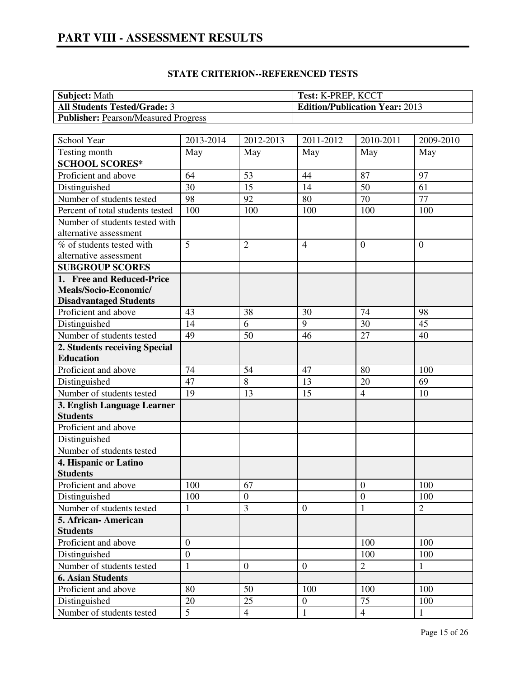| <b>Subject:</b> Math                        | <b>Test: K-PREP, KCCT</b>             |
|---------------------------------------------|---------------------------------------|
| <b>All Students Tested/Grade: 3</b>         | <b>Edition/Publication Year: 2013</b> |
| <b>Publisher:</b> Pearson/Measured Progress |                                       |

| School Year                      | 2013-2014       | 2012-2013      | 2011-2012        | 2010-2011      | 2009-2010      |
|----------------------------------|-----------------|----------------|------------------|----------------|----------------|
| Testing month                    | May             | May            | May              | May            | May            |
| <b>SCHOOL SCORES*</b>            |                 |                |                  |                |                |
| Proficient and above             | 64              | 53             | 44               | 87             | 97             |
| Distinguished                    | 30              | 15             | 14               | 50             | 61             |
| Number of students tested        | 98              | 92             | 80               | 70             | 77             |
| Percent of total students tested | 100             | 100            | 100              | 100            | 100            |
| Number of students tested with   |                 |                |                  |                |                |
| alternative assessment           |                 |                |                  |                |                |
| % of students tested with        | 5               | $\overline{2}$ | $\overline{4}$   | $\overline{0}$ | $\overline{0}$ |
| alternative assessment           |                 |                |                  |                |                |
| <b>SUBGROUP SCORES</b>           |                 |                |                  |                |                |
| 1. Free and Reduced-Price        |                 |                |                  |                |                |
| Meals/Socio-Economic/            |                 |                |                  |                |                |
| <b>Disadvantaged Students</b>    |                 |                |                  |                |                |
| Proficient and above             | 43              | 38             | 30               | 74             | 98             |
| Distinguished                    | 14              | 6              | 9                | 30             | 45             |
| Number of students tested        | 49              | 50             | 46               | 27             | 40             |
| 2. Students receiving Special    |                 |                |                  |                |                |
| <b>Education</b>                 |                 |                |                  |                |                |
| Proficient and above             | 74              | 54             | 47               | 80             | 100            |
| Distinguished                    | 47              | 8              | 13               | 20             | 69             |
| Number of students tested        | 19              | 13             | 15               | $\overline{4}$ | 10             |
| 3. English Language Learner      |                 |                |                  |                |                |
| <b>Students</b>                  |                 |                |                  |                |                |
| Proficient and above             |                 |                |                  |                |                |
| Distinguished                    |                 |                |                  |                |                |
| Number of students tested        |                 |                |                  |                |                |
| 4. Hispanic or Latino            |                 |                |                  |                |                |
| <b>Students</b>                  |                 |                |                  |                |                |
| Proficient and above             | 100             | 67             |                  | $\overline{0}$ | 100            |
| Distinguished                    | 100             | $\mathbf{0}$   |                  | $\overline{0}$ | 100            |
| Number of students tested        | $\mathbf{1}$    | 3              | $\overline{0}$   | $\mathbf{1}$   | $\overline{2}$ |
| 5. African- American             |                 |                |                  |                |                |
| <b>Students</b>                  |                 |                |                  |                |                |
| Proficient and above             | $\overline{0}$  |                |                  | 100            | 100            |
| Distinguished                    | $\overline{0}$  |                |                  | 100            | 100            |
| Number of students tested        | $\mathbf{1}$    | $\overline{0}$ | $\boldsymbol{0}$ | $\overline{2}$ | 1              |
| <b>6. Asian Students</b>         |                 |                |                  |                |                |
| Proficient and above             | 80              | 50             | 100              | 100            | 100            |
| Distinguished                    | 20              | 25             | $\boldsymbol{0}$ | 75             | 100            |
| Number of students tested        | $5\overline{)}$ | $\overline{4}$ | $\mathbf{1}$     | $\overline{4}$ | $\mathbf{1}$   |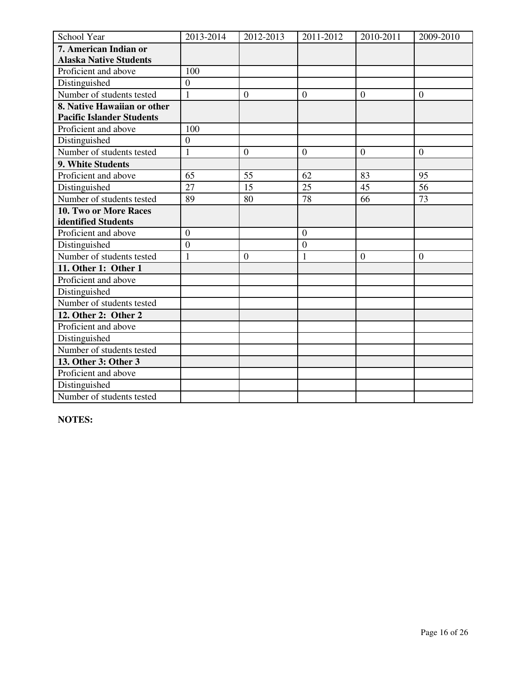| School Year                      | 2013-2014      | 2012-2013      | 2011-2012        | 2010-2011        | 2009-2010 |
|----------------------------------|----------------|----------------|------------------|------------------|-----------|
| 7. American Indian or            |                |                |                  |                  |           |
| <b>Alaska Native Students</b>    |                |                |                  |                  |           |
| Proficient and above             | 100            |                |                  |                  |           |
| Distinguished                    | $\overline{0}$ |                |                  |                  |           |
| Number of students tested        | $\mathbf{1}$   | $\overline{0}$ | $\overline{0}$   | $\overline{0}$   | $\theta$  |
| 8. Native Hawaiian or other      |                |                |                  |                  |           |
| <b>Pacific Islander Students</b> |                |                |                  |                  |           |
| Proficient and above             | 100            |                |                  |                  |           |
| Distinguished                    | $\mathbf{0}$   |                |                  |                  |           |
| Number of students tested        | $\mathbf{1}$   | $\overline{0}$ | $\overline{0}$   | $\boldsymbol{0}$ | $\theta$  |
| 9. White Students                |                |                |                  |                  |           |
| Proficient and above             | 65             | 55             | 62               | 83               | 95        |
| Distinguished                    | 27             | 15             | $\overline{25}$  | 45               | 56        |
| Number of students tested        | 89             | 80             | 78               | 66               | 73        |
| 10. Two or More Races            |                |                |                  |                  |           |
| identified Students              |                |                |                  |                  |           |
| Proficient and above             | $\overline{0}$ |                | $\overline{0}$   |                  |           |
| Distinguished                    | $\mathbf{0}$   |                | $\boldsymbol{0}$ |                  |           |
| Number of students tested        | $\mathbf{1}$   | $\overline{0}$ | $\mathbf{1}$     | $\overline{0}$   | $\theta$  |
| 11. Other 1: Other 1             |                |                |                  |                  |           |
| Proficient and above             |                |                |                  |                  |           |
| Distinguished                    |                |                |                  |                  |           |
| Number of students tested        |                |                |                  |                  |           |
| 12. Other 2: Other 2             |                |                |                  |                  |           |
| Proficient and above             |                |                |                  |                  |           |
| Distinguished                    |                |                |                  |                  |           |
| Number of students tested        |                |                |                  |                  |           |
| 13. Other 3: Other 3             |                |                |                  |                  |           |
| Proficient and above             |                |                |                  |                  |           |
| Distinguished                    |                |                |                  |                  |           |
| Number of students tested        |                |                |                  |                  |           |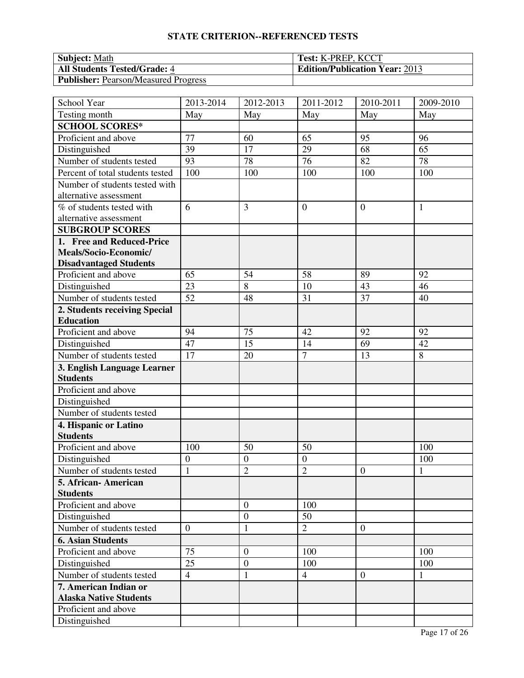| <b>Subject:</b> Math                        | <b>Test: K-PREP, KCCT</b>             |
|---------------------------------------------|---------------------------------------|
| <b>All Students Tested/Grade: 4</b>         | <b>Edition/Publication Year: 2013</b> |
| <b>Publisher:</b> Pearson/Measured Progress |                                       |

| School Year                      | 2013-2014       | 2012-2013        | 2011-2012      | 2010-2011        | 2009-2010    |
|----------------------------------|-----------------|------------------|----------------|------------------|--------------|
| Testing month                    | May             | May              | May            | May              | May          |
| <b>SCHOOL SCORES*</b>            |                 |                  |                |                  |              |
| Proficient and above             | 77              | 60               | 65             | 95               | 96           |
| Distinguished                    | 39              | 17               | 29             | 68               | 65           |
| Number of students tested        | $\overline{93}$ | 78               | 76             | 82               | 78           |
| Percent of total students tested | 100             | 100              | 100            | 100              | 100          |
| Number of students tested with   |                 |                  |                |                  |              |
| alternative assessment           |                 |                  |                |                  |              |
| % of students tested with        | 6               | 3                | $\overline{0}$ | $\overline{0}$   | 1            |
| alternative assessment           |                 |                  |                |                  |              |
| <b>SUBGROUP SCORES</b>           |                 |                  |                |                  |              |
| 1. Free and Reduced-Price        |                 |                  |                |                  |              |
| Meals/Socio-Economic/            |                 |                  |                |                  |              |
| <b>Disadvantaged Students</b>    |                 |                  |                |                  |              |
| Proficient and above             | 65              | 54               | 58             | 89               | 92           |
| Distinguished                    | 23              | 8                | 10             | 43               | 46           |
| Number of students tested        | 52              | 48               | 31             | 37               | 40           |
| 2. Students receiving Special    |                 |                  |                |                  |              |
| <b>Education</b>                 |                 |                  |                |                  |              |
| Proficient and above             | 94              | 75               | 42             | 92               | 92           |
| Distinguished                    | 47              | 15               | 14             | 69               | 42           |
| Number of students tested        | 17              | 20               | $\overline{7}$ | 13               | 8            |
| 3. English Language Learner      |                 |                  |                |                  |              |
| <b>Students</b>                  |                 |                  |                |                  |              |
| Proficient and above             |                 |                  |                |                  |              |
| Distinguished                    |                 |                  |                |                  |              |
| Number of students tested        |                 |                  |                |                  |              |
| 4. Hispanic or Latino            |                 |                  |                |                  |              |
| <b>Students</b>                  |                 |                  |                |                  |              |
| Proficient and above             | 100             | 50               | 50             |                  | 100          |
| Distinguished                    | $\overline{0}$  | $\mathbf{0}$     | $\overline{0}$ |                  | 100          |
| Number of students tested        | $\mathbf{1}$    | $\overline{2}$   | $\overline{2}$ | $\mathbf{0}$     | $\mathbf{1}$ |
| 5. African-American              |                 |                  |                |                  |              |
| <b>Students</b>                  |                 |                  |                |                  |              |
| Proficient and above             |                 | $\mathbf{0}$     | 100            |                  |              |
| Distinguished                    |                 | $\boldsymbol{0}$ | 50             |                  |              |
| Number of students tested        | $\overline{0}$  | $\mathbf{1}$     | $\overline{2}$ | $\overline{0}$   |              |
| <b>6. Asian Students</b>         |                 |                  |                |                  |              |
| Proficient and above             | 75              | $\boldsymbol{0}$ | 100            |                  | 100          |
| Distinguished                    | 25              | $\mathbf{0}$     | 100            |                  | 100          |
| Number of students tested        | $\overline{4}$  | $\mathbf{1}$     | $\overline{4}$ | $\boldsymbol{0}$ | 1            |
| 7. American Indian or            |                 |                  |                |                  |              |
| <b>Alaska Native Students</b>    |                 |                  |                |                  |              |
| Proficient and above             |                 |                  |                |                  |              |
| Distinguished                    |                 |                  |                |                  |              |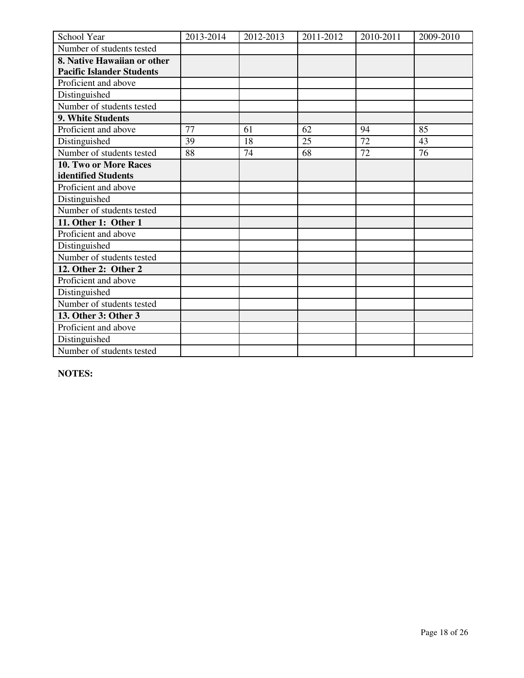| <b>School Year</b>               | 2013-2014 | 2012-2013 | 2011-2012 | 2010-2011 | 2009-2010 |
|----------------------------------|-----------|-----------|-----------|-----------|-----------|
| Number of students tested        |           |           |           |           |           |
| 8. Native Hawaiian or other      |           |           |           |           |           |
| <b>Pacific Islander Students</b> |           |           |           |           |           |
| Proficient and above             |           |           |           |           |           |
| Distinguished                    |           |           |           |           |           |
| Number of students tested        |           |           |           |           |           |
| 9. White Students                |           |           |           |           |           |
| Proficient and above             | 77        | 61        | 62        | 94        | 85        |
| Distinguished                    | 39        | 18        | 25        | 72        | 43        |
| Number of students tested        | 88        | 74        | 68        | 72        | 76        |
| 10. Two or More Races            |           |           |           |           |           |
| identified Students              |           |           |           |           |           |
| Proficient and above             |           |           |           |           |           |
| Distinguished                    |           |           |           |           |           |
| Number of students tested        |           |           |           |           |           |
| 11. Other 1: Other 1             |           |           |           |           |           |
| Proficient and above             |           |           |           |           |           |
| Distinguished                    |           |           |           |           |           |
| Number of students tested        |           |           |           |           |           |
| 12. Other 2: Other 2             |           |           |           |           |           |
| Proficient and above             |           |           |           |           |           |
| Distinguished                    |           |           |           |           |           |
| Number of students tested        |           |           |           |           |           |
| 13. Other 3: Other 3             |           |           |           |           |           |
| Proficient and above             |           |           |           |           |           |
| Distinguished                    |           |           |           |           |           |
| Number of students tested        |           |           |           |           |           |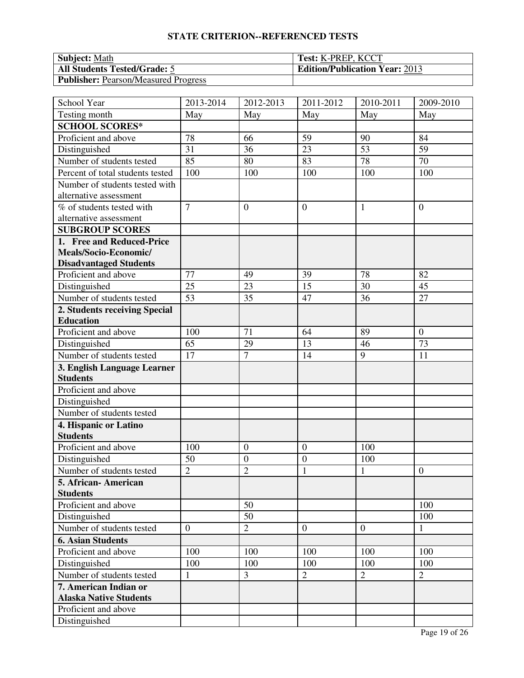| <b>Subject:</b> Math                        | <b>Test: K-PREP, KCCT</b>             |
|---------------------------------------------|---------------------------------------|
| <b>All Students Tested/Grade: 5</b>         | <b>Edition/Publication Year: 2013</b> |
| <b>Publisher:</b> Pearson/Measured Progress |                                       |

| School Year                      | 2013-2014      | 2012-2013        | 2011-2012      | 2010-2011      | 2009-2010        |
|----------------------------------|----------------|------------------|----------------|----------------|------------------|
| Testing month                    | May            | May              | May            | May            | May              |
| <b>SCHOOL SCORES*</b>            |                |                  |                |                |                  |
| Proficient and above             | 78             | 66               | 59             | 90             | 84               |
| Distinguished                    | 31             | 36               | 23             | 53             | 59               |
| Number of students tested        | 85             | 80               | 83             | 78             | 70               |
| Percent of total students tested | 100            | 100              | 100            | 100            | 100              |
| Number of students tested with   |                |                  |                |                |                  |
| alternative assessment           |                |                  |                |                |                  |
| % of students tested with        | $\overline{7}$ | $\boldsymbol{0}$ | $\overline{0}$ | $\mathbf{1}$   | $\theta$         |
| alternative assessment           |                |                  |                |                |                  |
| <b>SUBGROUP SCORES</b>           |                |                  |                |                |                  |
| 1. Free and Reduced-Price        |                |                  |                |                |                  |
| Meals/Socio-Economic/            |                |                  |                |                |                  |
| <b>Disadvantaged Students</b>    |                |                  |                |                |                  |
| Proficient and above             | 77             | 49               | 39             | 78             | 82               |
| Distinguished                    | 25             | 23               | 15             | 30             | 45               |
| Number of students tested        | 53             | 35               | 47             | 36             | 27               |
| 2. Students receiving Special    |                |                  |                |                |                  |
| <b>Education</b>                 |                |                  |                |                |                  |
| Proficient and above             | 100            | 71               | 64             | 89             | $\overline{0}$   |
| Distinguished                    | 65             | 29               | 13             | 46             | 73               |
| Number of students tested        | 17             | $\overline{7}$   | 14             | 9              | 11               |
| 3. English Language Learner      |                |                  |                |                |                  |
| <b>Students</b>                  |                |                  |                |                |                  |
| Proficient and above             |                |                  |                |                |                  |
| Distinguished                    |                |                  |                |                |                  |
| Number of students tested        |                |                  |                |                |                  |
| 4. Hispanic or Latino            |                |                  |                |                |                  |
| <b>Students</b>                  |                |                  |                |                |                  |
| Proficient and above             | 100            | $\mathbf{0}$     | $\mathbf{0}$   | 100            |                  |
| Distinguished                    | 50             | $\mathbf{0}$     | $\mathbf{0}$   | 100            |                  |
| Number of students tested        | $\overline{2}$ | $\overline{2}$   | $\mathbf{1}$   | $\mathbf{1}$   | $\boldsymbol{0}$ |
| 5. African-American              |                |                  |                |                |                  |
| <b>Students</b>                  |                |                  |                |                |                  |
| Proficient and above             |                | 50               |                |                | 100              |
| Distinguished                    |                | 50               |                |                | 100              |
| Number of students tested        | $\overline{0}$ | $\overline{2}$   | $\overline{0}$ | $\overline{0}$ | $\mathbf{1}$     |
| <b>6. Asian Students</b>         |                |                  |                |                |                  |
| Proficient and above             | 100            | 100              | 100            | 100            | 100              |
| Distinguished                    | 100            | 100              | 100            | 100            | 100              |
| Number of students tested        | 1              | 3                | $\overline{2}$ | $\overline{2}$ | $\overline{2}$   |
| 7. American Indian or            |                |                  |                |                |                  |
| <b>Alaska Native Students</b>    |                |                  |                |                |                  |
| Proficient and above             |                |                  |                |                |                  |
| Distinguished                    |                |                  |                |                |                  |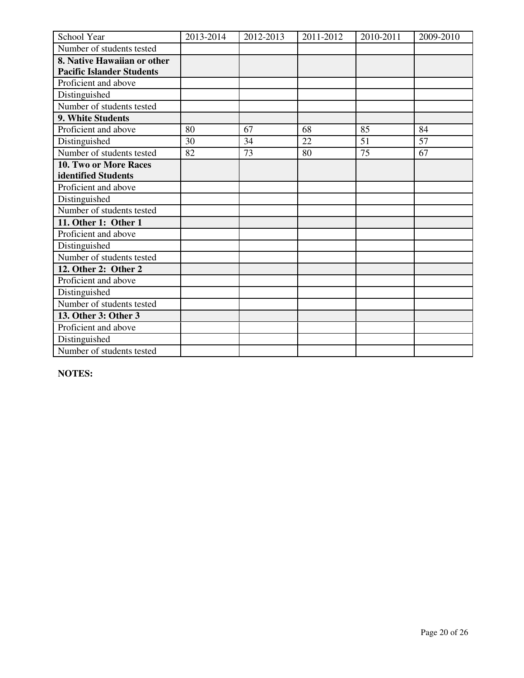| School Year                      | 2013-2014 | 2012-2013 | 2011-2012 | 2010-2011 | 2009-2010 |
|----------------------------------|-----------|-----------|-----------|-----------|-----------|
| Number of students tested        |           |           |           |           |           |
| 8. Native Hawaiian or other      |           |           |           |           |           |
| <b>Pacific Islander Students</b> |           |           |           |           |           |
| Proficient and above             |           |           |           |           |           |
| Distinguished                    |           |           |           |           |           |
| Number of students tested        |           |           |           |           |           |
| 9. White Students                |           |           |           |           |           |
| Proficient and above             | 80        | 67        | 68        | 85        | 84        |
| Distinguished                    | 30        | 34        | 22        | 51        | 57        |
| Number of students tested        | 82        | 73        | 80        | 75        | 67        |
| <b>10. Two or More Races</b>     |           |           |           |           |           |
| identified Students              |           |           |           |           |           |
| Proficient and above             |           |           |           |           |           |
| Distinguished                    |           |           |           |           |           |
| Number of students tested        |           |           |           |           |           |
| 11. Other 1: Other 1             |           |           |           |           |           |
| Proficient and above             |           |           |           |           |           |
| Distinguished                    |           |           |           |           |           |
| Number of students tested        |           |           |           |           |           |
| 12. Other 2: Other 2             |           |           |           |           |           |
| Proficient and above             |           |           |           |           |           |
| Distinguished                    |           |           |           |           |           |
| Number of students tested        |           |           |           |           |           |
| 13. Other 3: Other 3             |           |           |           |           |           |
| Proficient and above             |           |           |           |           |           |
| Distinguished                    |           |           |           |           |           |
| Number of students tested        |           |           |           |           |           |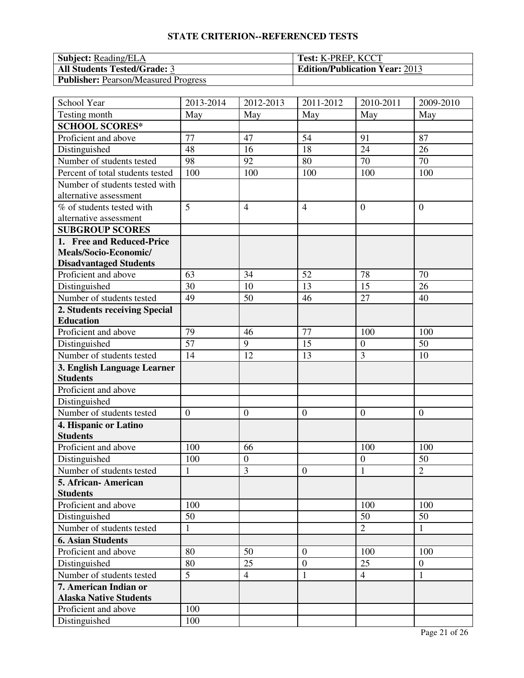| <b>Subject:</b> Reading/ELA                 | <b>Test: K-PREP, KCCT</b>             |
|---------------------------------------------|---------------------------------------|
| <b>All Students Tested/Grade: 3</b>         | <b>Edition/Publication Year: 2013</b> |
| <b>Publisher:</b> Pearson/Measured Progress |                                       |

| School Year                                    | 2013-2014        | 2012-2013      | 2011-2012        | 2010-2011        | 2009-2010      |
|------------------------------------------------|------------------|----------------|------------------|------------------|----------------|
| Testing month                                  | May              | May            | May              | May              | May            |
| <b>SCHOOL SCORES*</b>                          |                  |                |                  |                  |                |
| Proficient and above                           | 77               | 47             | 54               | 91               | 87             |
| Distinguished                                  | 48               | 16             | 18               | 24               | 26             |
| Number of students tested                      | 98               | 92             | 80               | 70               | 70             |
| Percent of total students tested               | 100              | 100            | 100              | 100              | 100            |
| Number of students tested with                 |                  |                |                  |                  |                |
| alternative assessment                         |                  |                |                  |                  |                |
| % of students tested with                      | 5                | $\overline{4}$ | $\overline{4}$   | $\overline{0}$   | $\overline{0}$ |
| alternative assessment                         |                  |                |                  |                  |                |
| <b>SUBGROUP SCORES</b>                         |                  |                |                  |                  |                |
| 1. Free and Reduced-Price                      |                  |                |                  |                  |                |
| Meals/Socio-Economic/                          |                  |                |                  |                  |                |
| <b>Disadvantaged Students</b>                  |                  |                |                  |                  |                |
| Proficient and above                           | 63               | 34             | 52               | 78               | 70             |
| Distinguished                                  | 30               | 10             | 13               | 15               | 26             |
| Number of students tested                      | 49               | 50             | 46               | 27               | 40             |
| 2. Students receiving Special                  |                  |                |                  |                  |                |
| <b>Education</b>                               |                  |                |                  |                  |                |
| Proficient and above                           | 79               | 46             | 77               | 100              | 100            |
| Distinguished                                  | 57               | 9              | 15               | $\boldsymbol{0}$ | 50             |
| Number of students tested                      | 14               | 12             | 13               | 3                | 10             |
| 3. English Language Learner<br><b>Students</b> |                  |                |                  |                  |                |
| Proficient and above                           |                  |                |                  |                  |                |
| Distinguished                                  |                  |                |                  |                  |                |
| Number of students tested                      | $\boldsymbol{0}$ | $\overline{0}$ | $\mathbf{0}$     | $\boldsymbol{0}$ | $\mathbf{0}$   |
| 4. Hispanic or Latino<br><b>Students</b>       |                  |                |                  |                  |                |
| Proficient and above                           | 100              | 66             |                  | 100              | 100            |
| Distinguished                                  | 100              | $\mathbf{0}$   |                  | $\boldsymbol{0}$ | 50             |
| Number of students tested                      | $\mathbf{1}$     | 3              | $\mathbf{0}$     | $\mathbf{1}$     | $\overline{2}$ |
| 5. African-American                            |                  |                |                  |                  |                |
| <b>Students</b>                                |                  |                |                  |                  |                |
| Proficient and above                           | 100              |                |                  | 100              | 100            |
| Distinguished                                  | 50               |                |                  | 50               | 50             |
| Number of students tested                      | $\mathbf{1}$     |                |                  | $\overline{2}$   | $\mathbf{1}$   |
| <b>6. Asian Students</b>                       |                  |                |                  |                  |                |
| Proficient and above                           | 80               | 50             | $\boldsymbol{0}$ | 100              | 100            |
| Distinguished                                  | 80               | 25             | $\boldsymbol{0}$ | 25               | $\mathbf{0}$   |
| Number of students tested                      | 5                | $\overline{4}$ | $\mathbf{1}$     | $\overline{4}$   | 1              |
| 7. American Indian or                          |                  |                |                  |                  |                |
| <b>Alaska Native Students</b>                  |                  |                |                  |                  |                |
| Proficient and above                           | 100              |                |                  |                  |                |
| Distinguished                                  | 100              |                |                  |                  |                |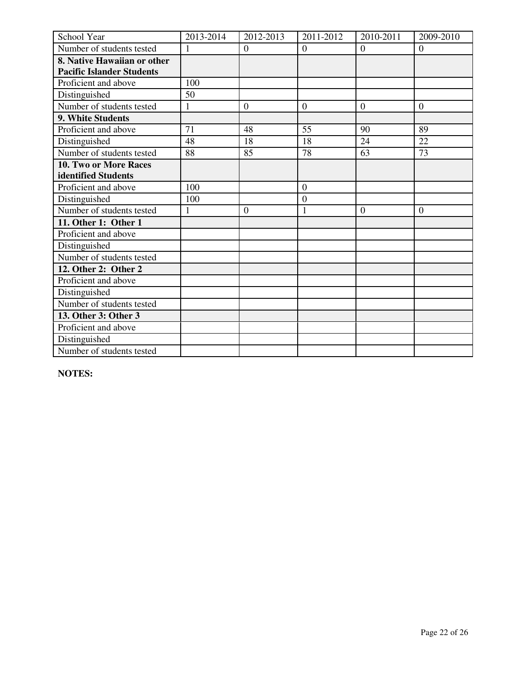| School Year                      | 2013-2014    | 2012-2013        | 2011-2012        | 2010-2011        | 2009-2010      |
|----------------------------------|--------------|------------------|------------------|------------------|----------------|
| Number of students tested        | $\mathbf{1}$ | $\boldsymbol{0}$ | $\boldsymbol{0}$ | $\boldsymbol{0}$ | $\mathbf{0}$   |
| 8. Native Hawaiian or other      |              |                  |                  |                  |                |
| <b>Pacific Islander Students</b> |              |                  |                  |                  |                |
| Proficient and above             | 100          |                  |                  |                  |                |
| Distinguished                    | 50           |                  |                  |                  |                |
| Number of students tested        | $\mathbf{1}$ | $\overline{0}$   | $\overline{0}$   | $\overline{0}$   | $\overline{0}$ |
| 9. White Students                |              |                  |                  |                  |                |
| Proficient and above             | 71           | 48               | 55               | 90               | 89             |
| Distinguished                    | 48           | 18               | 18               | 24               | 22             |
| Number of students tested        | 88           | 85               | 78               | 63               | 73             |
| <b>10. Two or More Races</b>     |              |                  |                  |                  |                |
| identified Students              |              |                  |                  |                  |                |
| Proficient and above             | 100          |                  | $\overline{0}$   |                  |                |
| Distinguished                    | 100          |                  | $\overline{0}$   |                  |                |
| Number of students tested        | 1            | $\mathbf{0}$     | 1                | $\boldsymbol{0}$ | $\mathbf{0}$   |
| 11. Other 1: Other 1             |              |                  |                  |                  |                |
| Proficient and above             |              |                  |                  |                  |                |
| Distinguished                    |              |                  |                  |                  |                |
| Number of students tested        |              |                  |                  |                  |                |
| 12. Other 2: Other 2             |              |                  |                  |                  |                |
| Proficient and above             |              |                  |                  |                  |                |
| Distinguished                    |              |                  |                  |                  |                |
| Number of students tested        |              |                  |                  |                  |                |
| 13. Other 3: Other 3             |              |                  |                  |                  |                |
| Proficient and above             |              |                  |                  |                  |                |
| Distinguished                    |              |                  |                  |                  |                |
| Number of students tested        |              |                  |                  |                  |                |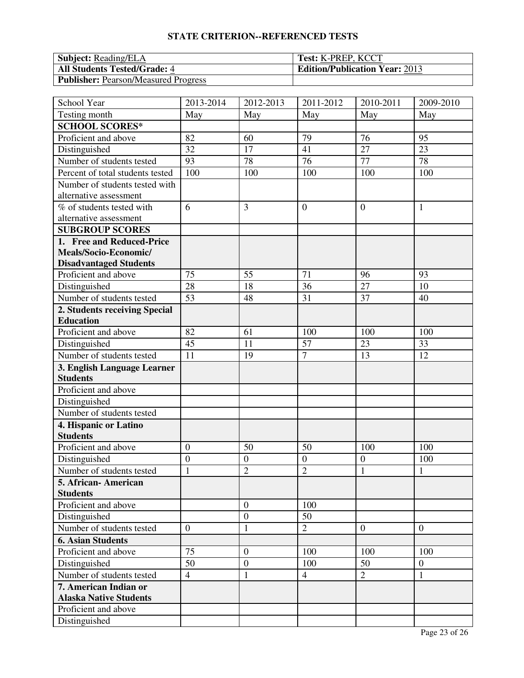| <b>Subject:</b> Reading/ELA                 | <b>Test: K-PREP, KCCT</b>             |
|---------------------------------------------|---------------------------------------|
| <b>All Students Tested/Grade: 4</b>         | <b>Edition/Publication Year: 2013</b> |
| <b>Publisher:</b> Pearson/Measured Progress |                                       |

| School Year                      | 2013-2014      | 2012-2013        | 2011-2012      | 2010-2011        | 2009-2010      |
|----------------------------------|----------------|------------------|----------------|------------------|----------------|
| Testing month                    | May            | May              | May            | May              | May            |
| <b>SCHOOL SCORES*</b>            |                |                  |                |                  |                |
| Proficient and above             | 82             | 60               | 79             | 76               | 95             |
| Distinguished                    | 32             | 17               | 41             | 27               | 23             |
| Number of students tested        | 93             | 78               | 76             | 77               | 78             |
| Percent of total students tested | 100            | 100              | 100            | 100              | 100            |
| Number of students tested with   |                |                  |                |                  |                |
| alternative assessment           |                |                  |                |                  |                |
| % of students tested with        | 6              | 3                | $\overline{0}$ | $\overline{0}$   | 1              |
| alternative assessment           |                |                  |                |                  |                |
| <b>SUBGROUP SCORES</b>           |                |                  |                |                  |                |
| 1. Free and Reduced-Price        |                |                  |                |                  |                |
| Meals/Socio-Economic/            |                |                  |                |                  |                |
| <b>Disadvantaged Students</b>    |                |                  |                |                  |                |
| Proficient and above             | 75             | 55               | 71             | 96               | 93             |
| Distinguished                    | 28             | 18               | 36             | 27               | 10             |
| Number of students tested        | 53             | 48               | 31             | 37               | 40             |
| 2. Students receiving Special    |                |                  |                |                  |                |
| <b>Education</b>                 |                |                  |                |                  |                |
| Proficient and above             | 82             | 61               | 100            | 100              | 100            |
| Distinguished                    | 45             | 11               | 57             | 23               | 33             |
| Number of students tested        | 11             | 19               | $\overline{7}$ | 13               | 12             |
| 3. English Language Learner      |                |                  |                |                  |                |
| <b>Students</b>                  |                |                  |                |                  |                |
| Proficient and above             |                |                  |                |                  |                |
| Distinguished                    |                |                  |                |                  |                |
| Number of students tested        |                |                  |                |                  |                |
| 4. Hispanic or Latino            |                |                  |                |                  |                |
| <b>Students</b>                  |                |                  |                |                  |                |
| Proficient and above             | $\overline{0}$ | 50               | 50             | 100              | 100            |
| Distinguished                    | $\overline{0}$ | $\mathbf{0}$     | $\overline{0}$ | $\boldsymbol{0}$ | 100            |
| Number of students tested        | $\mathbf{1}$   | $\overline{2}$   | $\overline{2}$ | $\mathbf{1}$     | $\mathbf{1}$   |
| 5. African- American             |                |                  |                |                  |                |
| <b>Students</b>                  |                |                  |                |                  |                |
| Proficient and above             |                | $\mathbf{0}$     | 100            |                  |                |
| Distinguished                    |                | $\boldsymbol{0}$ | 50             |                  |                |
| Number of students tested        | $\overline{0}$ | $\mathbf{1}$     | $\overline{2}$ | $\overline{0}$   | $\overline{0}$ |
| <b>6. Asian Students</b>         |                |                  |                |                  |                |
| Proficient and above             | 75             | $\overline{0}$   | 100            | 100              | 100            |
| Distinguished                    | 50             | $\mathbf{0}$     | 100            | 50               | $\mathbf{0}$   |
| Number of students tested        | $\overline{4}$ | $\mathbf{1}$     | $\overline{4}$ | $\overline{2}$   | 1              |
| 7. American Indian or            |                |                  |                |                  |                |
| <b>Alaska Native Students</b>    |                |                  |                |                  |                |
| Proficient and above             |                |                  |                |                  |                |
| Distinguished                    |                |                  |                |                  |                |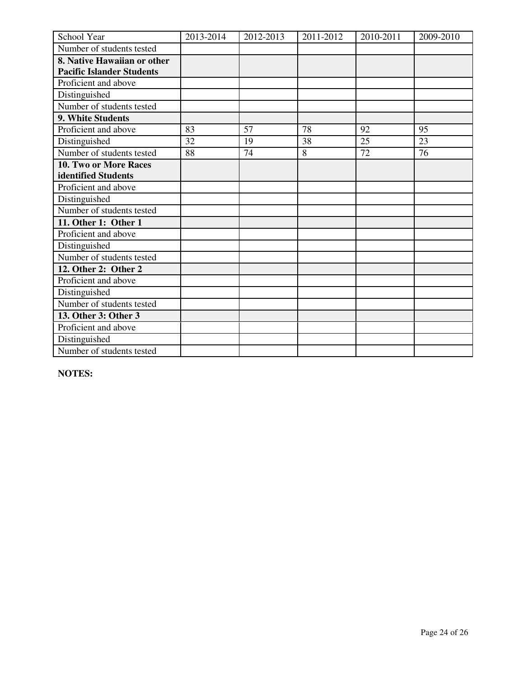| School Year                      | 2013-2014 | 2012-2013 | 2011-2012 | 2010-2011 | 2009-2010 |
|----------------------------------|-----------|-----------|-----------|-----------|-----------|
| Number of students tested        |           |           |           |           |           |
| 8. Native Hawaiian or other      |           |           |           |           |           |
| <b>Pacific Islander Students</b> |           |           |           |           |           |
| Proficient and above             |           |           |           |           |           |
| Distinguished                    |           |           |           |           |           |
| Number of students tested        |           |           |           |           |           |
| 9. White Students                |           |           |           |           |           |
| Proficient and above             | 83        | 57        | 78        | 92        | 95        |
| Distinguished                    | 32        | 19        | 38        | 25        | 23        |
| Number of students tested        | 88        | 74        | 8         | 72        | 76        |
| 10. Two or More Races            |           |           |           |           |           |
| identified Students              |           |           |           |           |           |
| Proficient and above             |           |           |           |           |           |
| Distinguished                    |           |           |           |           |           |
| Number of students tested        |           |           |           |           |           |
| 11. Other 1: Other 1             |           |           |           |           |           |
| Proficient and above             |           |           |           |           |           |
| Distinguished                    |           |           |           |           |           |
| Number of students tested        |           |           |           |           |           |
| 12. Other 2: Other 2             |           |           |           |           |           |
| Proficient and above             |           |           |           |           |           |
| Distinguished                    |           |           |           |           |           |
| Number of students tested        |           |           |           |           |           |
| 13. Other 3: Other 3             |           |           |           |           |           |
| Proficient and above             |           |           |           |           |           |
| Distinguished                    |           |           |           |           |           |
| Number of students tested        |           |           |           |           |           |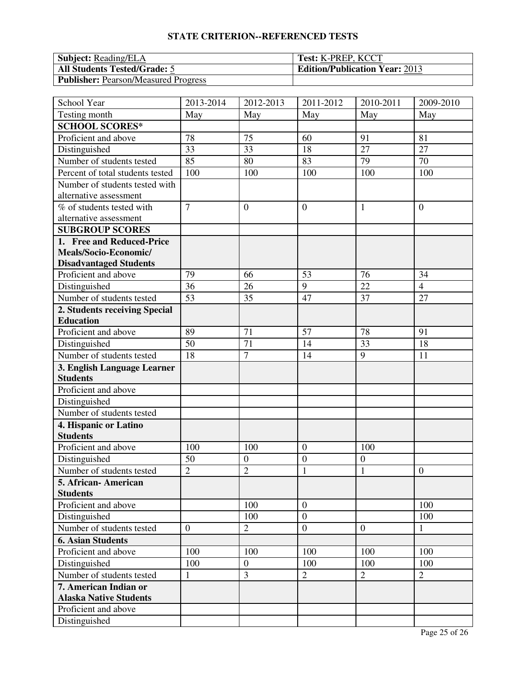| <b>Subject:</b> Reading/ELA                 | <b>Test: K-PREP, KCCT</b>             |
|---------------------------------------------|---------------------------------------|
| <b>All Students Tested/Grade: 5</b>         | <b>Edition/Publication Year: 2013</b> |
| <b>Publisher:</b> Pearson/Measured Progress |                                       |

| School Year                      | 2013-2014      | 2012-2013        | 2011-2012                          | 2010-2011        | 2009-2010        |
|----------------------------------|----------------|------------------|------------------------------------|------------------|------------------|
| Testing month                    | May            | May              | May                                | May              | May              |
| <b>SCHOOL SCORES*</b>            |                |                  |                                    |                  |                  |
| Proficient and above             | 78             | 75               | 60                                 | 91               | 81               |
| Distinguished                    | 33             | 33               | 18                                 | 27               | 27               |
| Number of students tested        | 85             | 80               | 83                                 | 79               | 70               |
| Percent of total students tested | 100            | 100              | 100                                | 100              | 100              |
| Number of students tested with   |                |                  |                                    |                  |                  |
| alternative assessment           |                |                  |                                    |                  |                  |
| % of students tested with        | $\overline{7}$ | $\boldsymbol{0}$ | $\overline{0}$                     | 1                | $\boldsymbol{0}$ |
| alternative assessment           |                |                  |                                    |                  |                  |
| <b>SUBGROUP SCORES</b>           |                |                  |                                    |                  |                  |
| 1. Free and Reduced-Price        |                |                  |                                    |                  |                  |
| Meals/Socio-Economic/            |                |                  |                                    |                  |                  |
| <b>Disadvantaged Students</b>    |                |                  |                                    |                  |                  |
| Proficient and above             | 79             | 66               | 53                                 | 76               | 34               |
| Distinguished                    | 36             | 26               | 9                                  | 22               | $\overline{4}$   |
| Number of students tested        | 53             | 35               | 47                                 | 37               | 27               |
| 2. Students receiving Special    |                |                  |                                    |                  |                  |
| <b>Education</b>                 |                |                  |                                    |                  |                  |
| Proficient and above             | 89             | 71               | 57                                 | 78               | 91               |
| Distinguished                    | 50             | 71               | 14                                 | 33               | 18               |
| Number of students tested        | 18             | $\overline{7}$   | 14                                 | 9                | 11               |
| 3. English Language Learner      |                |                  |                                    |                  |                  |
| <b>Students</b>                  |                |                  |                                    |                  |                  |
| Proficient and above             |                |                  |                                    |                  |                  |
| Distinguished                    |                |                  |                                    |                  |                  |
| Number of students tested        |                |                  |                                    |                  |                  |
| 4. Hispanic or Latino            |                |                  |                                    |                  |                  |
| <b>Students</b>                  |                |                  |                                    |                  |                  |
| Proficient and above             | 100            | 100              | $\mathbf{0}$                       | 100              |                  |
| Distinguished                    | 50             | $\mathbf{0}$     | $\boldsymbol{0}$                   | $\boldsymbol{0}$ |                  |
| Number of students tested        | $\overline{2}$ | $\overline{2}$   | $\mathbf{1}$                       | $\mathbf{1}$     | $\boldsymbol{0}$ |
| 5. African- American             |                |                  |                                    |                  |                  |
| <b>Students</b>                  |                |                  |                                    |                  |                  |
| Proficient and above             |                | 100<br>100       | $\overline{0}$<br>$\boldsymbol{0}$ |                  | 100              |
| Distinguished                    | $\overline{0}$ |                  | $\boldsymbol{0}$                   |                  | 100              |
| Number of students tested        |                | $\overline{2}$   |                                    | $\overline{0}$   | $\mathbf{1}$     |
| <b>6. Asian Students</b>         |                |                  |                                    |                  |                  |
| Proficient and above             | 100            | 100              | 100                                | 100              | 100              |
| Distinguished                    | 100            | $\boldsymbol{0}$ | 100                                | 100              | 100              |
| Number of students tested        | 1              | 3                | $\mathbf{2}$                       | $\overline{2}$   | $\overline{2}$   |
| 7. American Indian or            |                |                  |                                    |                  |                  |
| <b>Alaska Native Students</b>    |                |                  |                                    |                  |                  |
| Proficient and above             |                |                  |                                    |                  |                  |
| Distinguished                    |                |                  |                                    |                  |                  |